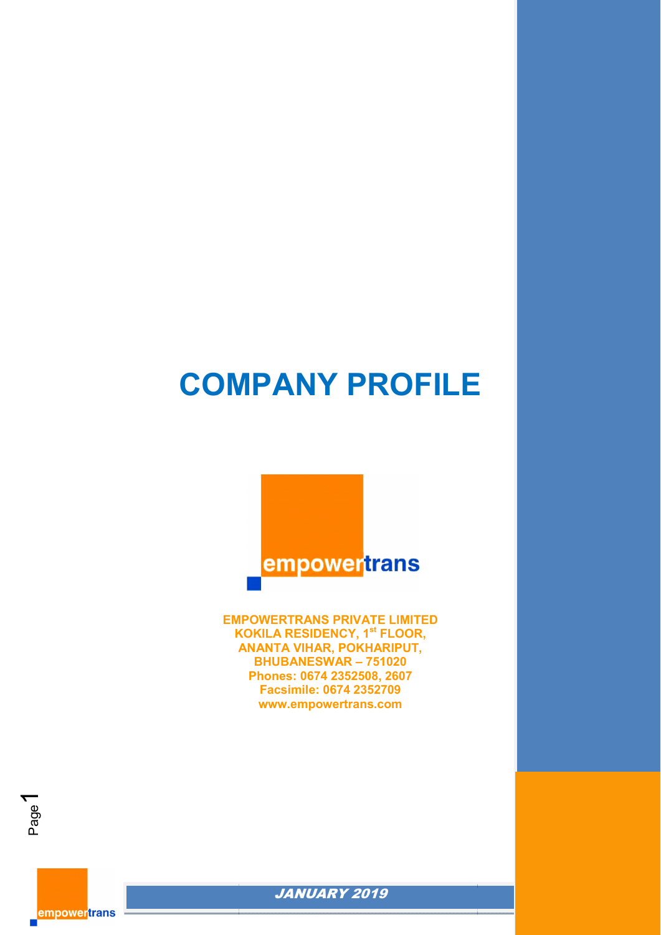# **COMPANY PROFILE**

*EMPOWERTRANS PVT LTD*



**EMPOWERTRANS PRIVATE LIMITED KOKILA RESIDENCY, 1 1st FLOOR, ANANTA VIHAR, POKHARIPUT, BHUBANESWAR – 751020 Phones: 0674 2352508, 2607 Facsimile: 0674 2352709 www.empowertrans.com**



**empowertrans** 

Page  $\blacktriangledown$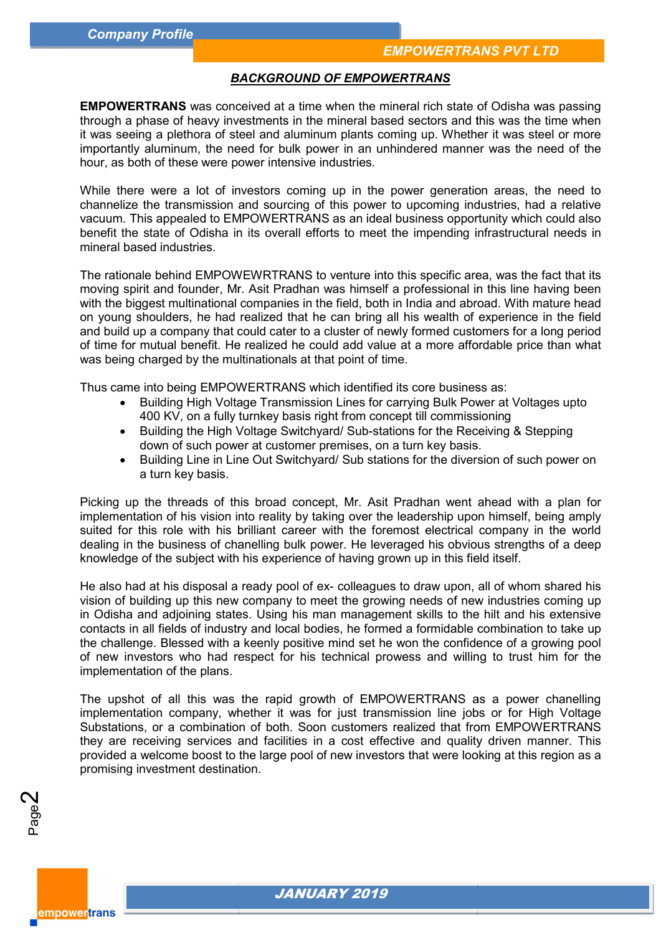#### *BACKGROUND OF EMPOWERTRANS*

**EMPOWERTRANS** was conceived at a time when the mineral rich state of Odisha was passing through a phase of heavy investments in the mineral based sectors and this was the time when it was seeing a plethora of steel and aluminum plants coming up. Whether it was steel or more importantly aluminum, the need for bulk power in an unhindered manner was the need of the hour, as both of these were power intensive industries.

While there were a lot of investors coming up in the power generation areas, the need to channelize the transmission and sourcing of this power to upcoming industries vacuum. This appealed to EMPOWERTRANS as an ideal business opportunity which could also benefit the state of Odisha in its overall efforts to meet the impending infrastructural needs in mineral based industries. i, the need for bulk power in an unhindered manner was the need of the<br>exere power intensive industries.<br>Iot of investors coming up in the power generation areas, the need to mission and sourcing of this power to upcoming ANS as an ideal business opportunity which could also<br>efforts to meet the impending infrastructural needs in<br>S to venture into this specific area, was the fact that its

The rationale behind EMPOWEWRTRANS to venture into this specific area moving spirit and founder, Mr. Asit Pradhan was himself a professional in this line having been moving spirit and founder, Mr. Asit Pradhan was himself a professional in this line having been<br>with the biggest multinational companies in the field, both in India and abroad. With mature head on young shoulders, he had realized that he can bring all his wealth of experience in the field on young shoulders, he had realized that he can bring all his wealth of experience in the field<br>and build up a company that could cater to a cluster of newly formed customers for a long period of time for mutual benefit. He realized he could add value at a more affordable price than what was being charged by the multinationals at that point of time.

Thus came into being EMPOWERTRANS which identified its core business as:

- Building High Voltage Transmission Lines for carrying Bulk Power at Voltages upto 400 KV, on a fully turnkey basis right from concept till commissioning
- Building the High Voltage Switchyard/ Sub-stations for the Receiving & Stepping down of such power at customer premises, on a turn key basis.
- Building Line in Line Out Switchyard/ Sub stations for the diversion of such power on a turn key basis.

Picking up the threads of this broad concept, Mr. Asit Pradhan went ahead with a plan for implementation of his vision into reality by taking over the leadership upon himself, being amply suited for this role with his brilliant career with the foremost electrical company in the world dealing in the business of chanelling bulk power. He leveraged his obvious strengths of a deep knowledge of the subject with his experience of having grown up in this field dealing in the business of chanelling bulk power. He leveraged his obvious strengths of a deep<br>knowledge of the subject with his experience of having grown up in this field itself.<br>He also had at his disposal a ready pool Thus came into being EMPOWERTRANS which identified its core business as:<br>
• Building High Voltage Transmission Lines for carrying Bulk Power at Voltages upto<br>
400 KV, on a fully turnkey basis right from concept till commis

vision of building up this new company to meet the growing needs of new industries coming up in Odisha and adjoining states. Using his man management skills to the hilt and his extensive contacts in all fields of industry and local bodies, he formed a fo formidable combination to take up the challenge. Blessed with a keenly positive mind set he won the confidence of a growing pool of new investors who had respect for his technical prowess and willing to trust him for the implementation of the plans. building up this new company to meet the growing needs of new industries coming up<br>and adjoining states. Using his man management skills to the hilt and his extensive<br>n all fields of industry and local bodies, he formed a

The upshot of all this was the rapid growth of EMPOWERTRANS as a power chanelling implementation company, whether it was for just transmission line jobs or for High Voltage Substations, or a combination of both. Soon customers realized that from EMPOWERTRANS they are receiving services and facilities in a cost effective and quality driven manner. This provided a welcome boost to the large pool of new investors that were looking at this region promising investment destination.

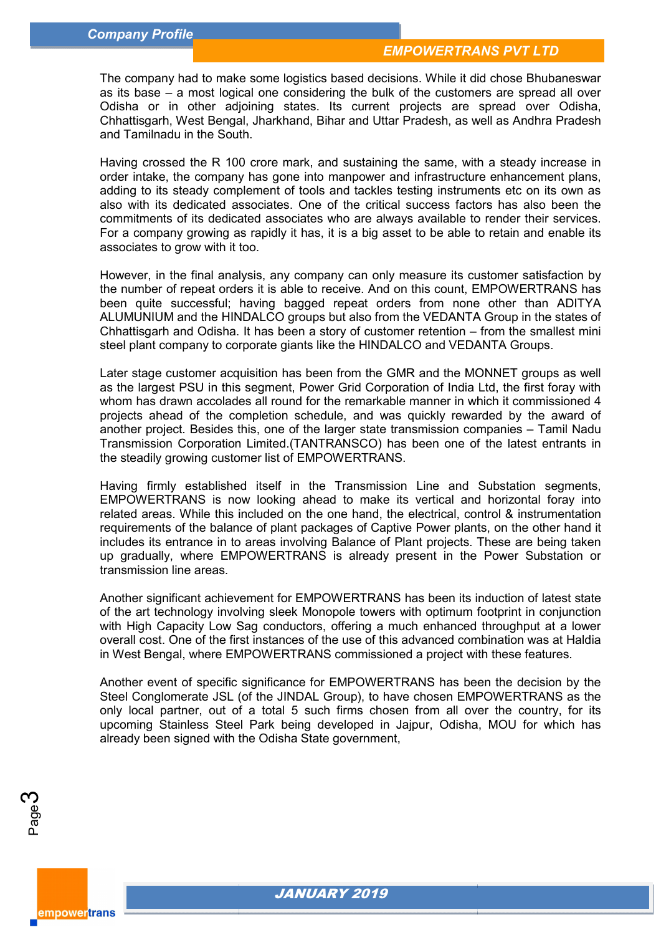The company had to make some logistics based decisions. While it did chose Bhubaneswar as its base – a most logical one considering the bulk of the customers are spread all over Odisha or in other adjoining states. Its current projects are spread over Odisha, Chhattisgarh, West Bengal, Jharkhand, Bihar and Uttar Pradesh, as well as and Tamilnadu in the South. a most logical one considering the bulk of the customers are spread all over<br>ι other adjoining states. Its current projects are spread over Odisha,<br>West Bengal, Jharkhand, Bihar and Uttar Pradesh, as well as Andh

Having crossed the R 100 crore mark, and sustaining the same, with a steady increase in Having crossed the R 100 crore mark, and sustaining the same, with a steady increase in<br>order intake, the company has gone into manpower and infrastructure enhancement plans, adding to its steady complement of tools and tackles testing instruments etc on its own as adding to its steady complement of tools and tackles testing instruments etc on its own as<br>also with its dedicated associates. One of the critical success factors has also been the commitments of its dedicated associates who are always available to render their services. For a company growing as rapidly it has, it is a big asset to be able to retain and enable its associates to grow with it too. commitments of its dedicated associates who are always available to render their services.<br>For a company growing as rapidly it has, it is a big asset to be able to retain and enable its<br>associates to grow with it too.<br>Howe

However, in the final analysis, any company can only measure its customer satisfaction by the number of repeat orders it is able to receive. And on this count, EMPOWERT been quite successful; having bagged repeat orders from none other than ADITYA ALUMUNIUM and the HINDALCO groups but also from the VEDANTA Group in the states of been quite successful; having bagged repeat orders from none other than ADITYA<br>ALUMUNIUM and the HINDALCO groups but also from the VEDANTA Group in the states of<br>Chhattisgarh and Odisha. It has been a story of c steel plant company to corporate giants like the HINDALCO and VEDANTA Groups.

Later stage customer acquisition has been from the GMR and the MONNET groups as well Later stage customer acquisition has been from the GMR and the MONNET groups as well<br>as the largest PSU in this segment, Power Grid Corporation of India Ltd, the first foray with whom has drawn accolades all round for the remarkable manner in which it commissioned 4 projects ahead of the completion schedule, and was quickly rewarded by the award of another project. Besides this, one of the larger state transmission companies Transmission Corporation Limited.(TANTRANSCO) has been one of the latest entrants in the steadily growing customer list of EMPOWERTRANS. round for the remarkable manner in which it commissioned 4<br>tion\_schedule, and\_was\_quickly\_rewarded\_by\_the\_award\_of<br>ne of the larger state transmission companies – Tamil Nadu

Having firmly established itself in the Transmission Line and Substation segments, Having firmly established itself in the Transmission Line and Substation segments,<br>EMPOWERTRANS is now looking ahead to make its vertical and horizontal foray into related areas. While this included on the one hand, the electrical, control & instrumentation related areas. While this included on the one hand, the electrical, control & instrumentation<br>requirements of the balance of plant packages of Captive Power plants, on the other hand it includes its entrance in to areas involving Balance of Plant projects. These are being taken up gradually, where EMPOWERTRANS is already present in the Power Substation or transmission line areas.

Another significant achievement for EMPOWERTRANS has been its induction of latest state of the art technology involving sleek Monopole towers with optimum footprint in conjunction with High Capacity Low Sag conductors, offering a much enhanced throughput at a lower overall cost. One of the first instances of the use of this advanced combination was at Haldia in West Bengal, where EMPOWERTRANS commissioned a project with these features. trance in to areas involving Balance of Plant projects. These are being taken where EMPOWERTRANS is already present in the Power Substation or ne areas.<br>
cant achievement for EMPOWERTRANS has been its induction of latest s

Another event of specific significance for EMPOWERTRANS has been the decision by the Steel Conglomerate JSL (of the JINDAL Group), to have chosen EMPOWERTRANS as the only local partner, out of a total 5 such firms chosen from all over the country, for its upcoming Stainless Steel Park being developed in Jajpur, Odisha already been signed with the Odisha State government,

Page ო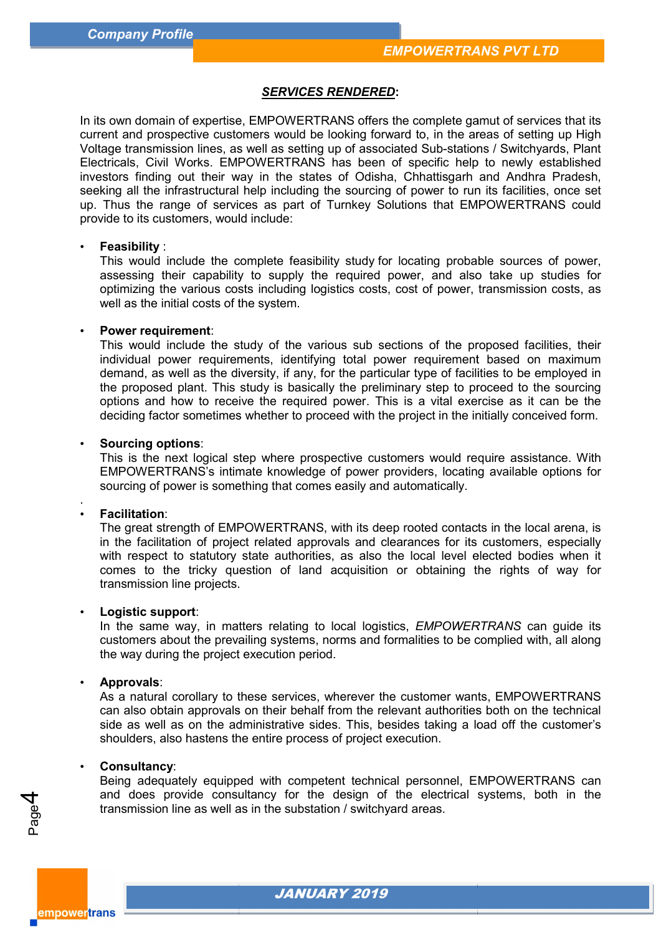#### *SERVICES RENDERED***:**

In its own domain of expertise, EMPOWERTRANS offers the complete gamut of services that current and prospective customers would be looking forward to, in the areas of setting up High current and prospective customers would be looking forward to, in the areas of setting up High<br>Voltage transmission lines, as well as setting up of associated Sub-stations / Switchyards, Plant Electricals, Civil Works. EMPOWERTRANS has been of specific help to newly established Electricals, Civil Works. EMPOWERTRANS has been of specific help to newly established<br>investors finding out their way in the states of Odisha, Chhattisgarh and Andhra Pradesh, seeking all the infrastructural help including the sourcing of power to run its facilities, once set up. Thus the range of services as part of Turnkey Solutions that EMPOWERTRANS could provide to its customers, would include: trise, EMPOWERTRANS offers the complete gamut of services that its services than the substomers would be looking forward to, in the areas of setting up High s, as well as setting up a reason of services that its mean the s

#### • **Feasibility** :

vide to its customers, would include:<br>**Feasibility** :<br>This would include the complete feasibility study for locating probable sources of power, assessing their capability to supply the required power, and also take up studies for optimizing the various costs including logistics costs, cost of power, transmission costs, as well as the initial costs of the system. run its facilities, once set<br>services as part of Turnkey Solutions that EMPOWERTRANS could<br>would include:<br>the complete feasibility study for locating probable sources of power,<br>ability to supply the required power, and als

#### • **Power requirement**:

This would include the study of the various sub sections of the proposed facilities, their individual power requirements, identifying total power requirement demand, as well as the diversity, if any, for the particular type of facilities to be employed in the proposed plant. This study is basically the preliminary step to proceed to the sourcing options and how to receive the required power. This is a vital exercise as it can be the deciding factor sometimes whether to proceed with the project in the initially conceived form. demand, as well as the diversity, if any, for the particular type of facilities to be employed in<br>the proposed plant. This study is basically the preliminary step to proceed to the sourcing<br>options and how to receive the r

#### • **Sourcing options**:

This is the next logical step where prospective customers would require assistance. With EMPOWERTRANS's intimate knowledge of power providers, locating availab sourcing of power is something that comes easily and automatically.

#### • **Facilitation**:

.

The great strength of EMPOWERTRANS, with its deep rooted contacts in the local arena, is in the facilitation of project related approvals and clearances for its customers, especially with respect to statutory state authorities, as also the local level elected bodies when it comes to the tricky question of land acquisition or obtaining the rights of way for transmission line projects. RTRANS, with its deep rooted contacts in the local arena, is<br>ed approvals and clearances for its customers, especially<br>uthorities, as also the local level elected bodies when it<br>of land acquisition or obtaining the rights

#### • **Logistic support**:

transmission line projects.<br>**Logistic support**:<br>In the same way, in matters relating to local logistics, *EMPOWERTRANS* can guide its customers about the prevailing systems, norms and formalities to be complied with, all along the way during the project execution period.

#### • **Approvals**:

As a natural corollary to these services, wherever the customer wants, EMPOWERTRANS can also obtain approvals on their behalf from the relevant authorities both on the technical side as well as on the administrative sides. This, besides taking a load off the customer's shoulders, also hastens the entire process of project execution. n atural corollary to these services, wherever the customer wants, EMPOWERTRANS<br>also obtain approvals on their behalf from the relevant authorities both on the technical<br>as well as on the administrative sides. This, beside

#### • **Consultancy**:

Being adequately equipped with competent technical personnel, EMPOWERTRANS can and does provide consultancy for the design of the electrical systems, both in the transmission line as well as in the substation / switchyard areas.



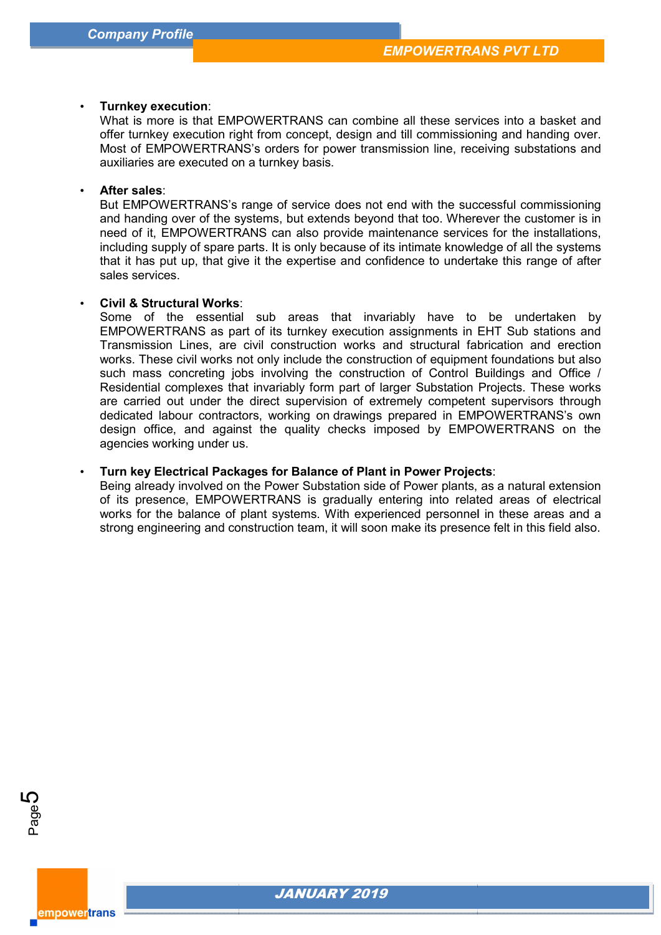#### • **Turnkey execution**:

What is more is that EMPOWERTRANS can combine all these services into a basket and offer turnkey execution right from concept, design and till commissioning and handing over. Most of EMPOWERTRANS's orders for power transmission line, receiving substations and auxiliaries are executed on a turnkey basis.

#### • **After sales**:

But EMPOWERTRANS's range of service does not end with the successful commissioning and handing over of the systems, but extends beyond that too. Wherever the customer is in need of it, EMPOWERTRANS can also provide maintenance services for the installations, including supply of spare parts. It is only because of its intimate knowledge of all the systems that it has put up, that give it the expertise and confidence to undertake this range of after sales services. What is more is that EMPOWERTRANS can combine all these services into a basket and<br>offer turnkey execution right from concept, design and till commissioning and handing over.<br>Most of EMPOWERTRANS's orders for power transmi

# • **Civil & Structural Works** :

Some of the essential sub areas that invariably have to be undertaken by EMPOWERTRANS as part of its turnkey execution assignments in EHT Sub stations and Transmission Lines, are civil construction works and structural fabrication and erection works. These civil works not only include the construction of equipment foundations but also such mass concreting jobs involving the construction of Control Buildings and Office / Residential complexes that invariably form part of larger Substation Projects. These works are carried out under the direct supervision of extremely competent supervisors through dedicated labour contractors, working on drawings prepared in EMPOWERTRANS's own design office, and against the quality checks imposed by EMPOWERTRANS on the agencies working under us. EMPOWERTRANS as part of its turnkey execution assignments in EHT Sub stations and Transmission Lines, are civil construction works and structural fabrication and erection works. These civil works not only include the const

#### **• Turn key Electrical Packages for Balance of Plant in Power Projects:**

Being already involved on the Power Substation side of Power plants, as a natural extension of its presence, EMPOWERTRANS is gradually entering into related areas of electrical works for the balance of plant systems. With experienced personnel in these areas and a strong engineering and construction team, it will soon make its presence felt in this field also. already involved on the Power Substation side of Power plants, as a natural extension presence, EMPOWERTRANS is gradually entering into related areas of electrical for the balance of plant systems. With experienced personn



empowertrans

**5** 

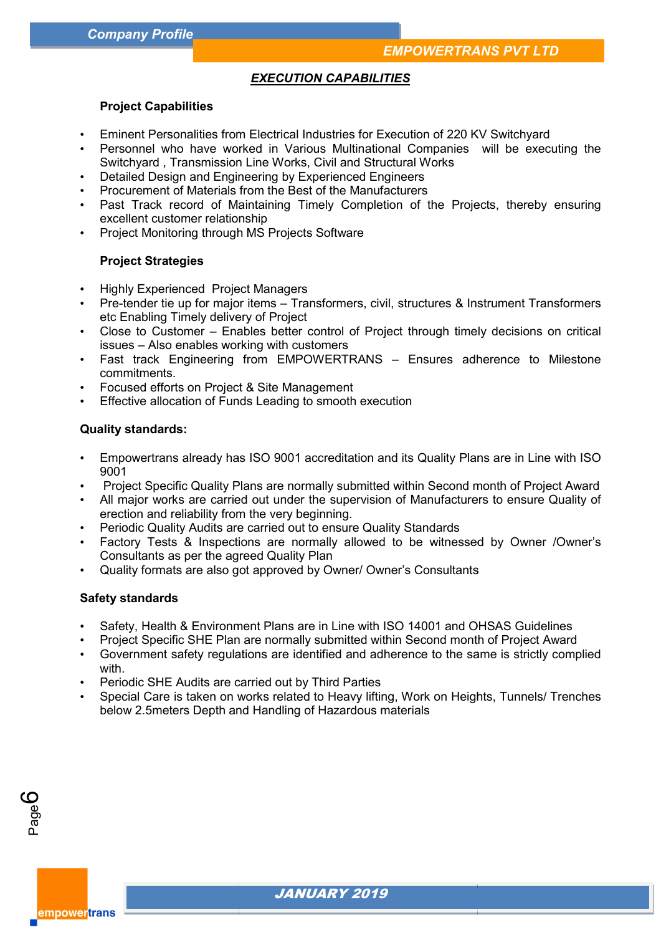## *EXECUTION CAPABILITIES*

#### **Project Capabilities**

- Eminent Personalities from Electrical Industries for Execution of 220 KV Switchyard
- Personnel who have worked in Various Multinational Companies will be executing the Switchyard , Transmission Line Works, Civil and Structural Works • Personnel who have worked in Various Multinational Companies will be executing the Switchyard , Transmission Line Works, Civil and Structural Works<br>• Detailed Design and Engineering by Experienced Engineers<br>• Procurement
- Detailed Design and Engineering by Experienced Engineers
- Procurement of Materials from the Best of the Manuf Manufacturers
- excellent customer relationship
- Project Monitoring through MS Projects Software

#### **Project Strategies**

- Highly Experienced Project Managers
- Pre-tender tie up for major items Transformers, civil, structures & Instrument Transformers etc Enabling Timely delivery of Project
- Close to Customer Enables better control of Project through timely decisions on critical issues – Also enables working with customers s – Transformers, civil, structures & Instrument Transformers<br>Project<br>better control of Project through timely decisions on critical<br>with customers<br>EMPOWERTRANS – Ensures adherence to Milestone<br>re Management<br>ading to smoot
- Fast track Engineering from EMPOWERTRANS Ensures adherence to Milestone commitments.
- Focused efforts on Project & Site Management
- Effective allocation of Funds Leading to smooth execution

#### **Quality standards:**

- Empowertrans already has ISO 9001 accreditation and its Quality Plans 9001
- Project Specific Quality Plans are normally submitted within Second month of Project Award
- Project Specific Quality Plans are normally submitted within Second month of Project Award<br>• All major works are carried out under the supervision of Manufacturers to ensure Quality of erection and reliability from the very beginning.
- Periodic Quality Audits are carried out to ensure Quality Standards
- Factory Tests & Inspections are normally allowed to be witnessed by Owner /Owner's Consultants as per the agreed Quality Plan
- Quality formats are also got approved by Owner/ Owner's Consultants

#### **Safety standards**

Page

empowertrans

ပ

- Safety, Health & Environment Plans are in Line with ISO 14001 and OHSAS Guidelines
- Project Specific SHE Plan are normally submitted within Second month of Project Award
- Government safety regulations are identified and adherence to the same is strictly complied with. • Government safety regulations are identified and adherence to the same is strictly complied<br>with.<br>• Periodic SHE Audits are carried out by Third Parties<br>• Special Care is taken on works related to Heavy lifting, Work on
- Periodic SHE Audits are carried out by Third Parties
- below 2.5meters Depth and Handling of Hazardous materials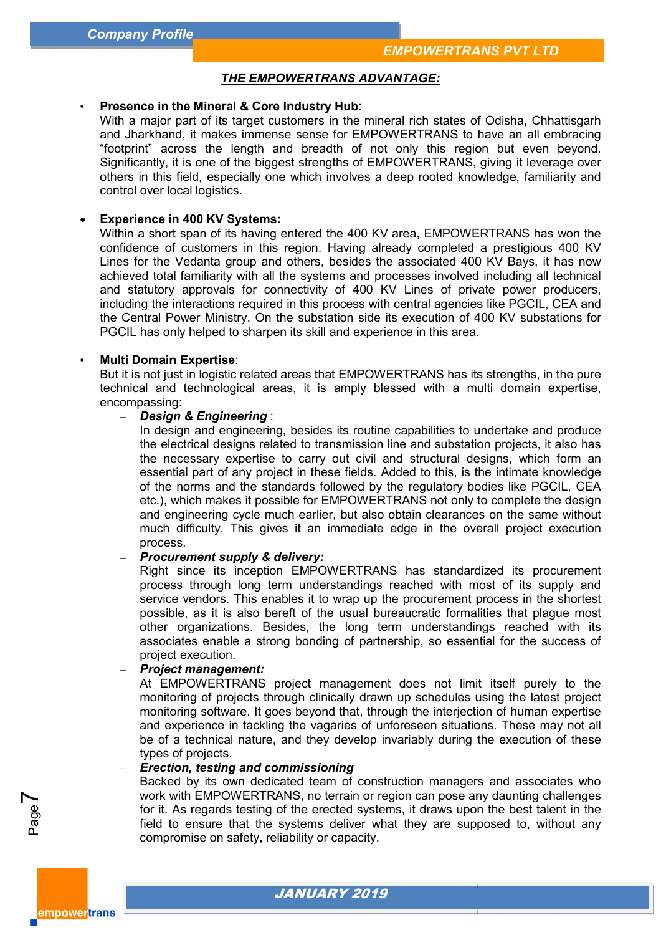#### *THE EMPOWERTRANS ADVANTAGE ADVANTAGE:*

#### • **Presence in the Mineral & Core Industry Hub** :

With a major part of its target customers in the mineral rich states of Odisha, Chhattisgarh and Jharkhand, it makes immense sense for EMPOWERTRANS to have an all embracing "footprint" across the length and breadth of not only this region but even beyond. Significantly, it is one of the biggest strengths of EMPOWERTRANS, giving it leverage over others in this field, especially one which involves a deep rooted knowledge, familiarity and control over local logistics.

#### **Experience in 400 KV Systems:**

Within a short span of its having entered the 400 KV area, EMPOWERTRANS has won the confidence of customers in this region. Having already completed a prestigious 400 KV Lines for the Vedanta group and others, besides the associated 400 KV Bays achieved total familiarity with all the systems and processes involved including all technical and statutory approvals for connectivity of 400 KV Lines of private power producers, including the interactions required in this process with central agencies like PGCIL, CEA and the Central Power Ministry. On the substation side its execution of 400 KV substations for PGCIL has only helped to sharpen its skill and experience in this area. a short span of its having entered the 400 KV area, EMPOWERTRANS has won the<br>nce of customers in this region. Having already completed a prestigious 400 KV<br>or the Vedanta group and others, besides the associated 400 KV Bay

#### • **Multi Domain Expertise**:

But it is not just in logistic related areas that EMPOWERTRANS has its strengths, in the pure technical and technological areas, it is amply blessed with a multi domain expertise, encompassing:

#### – *Design & Engineering* :

In design and engineering, besides its routine capabilities to undertake and produce the electrical designs related to transmission line and substation projects, it also has the necessary expertise to carry out civil and structural designs, which form an essential part of any project in these fields. Added to this, is the intimate knowledge of the norms and the standards followed by the regulatory bodies like etc.), which makes it possible for EMPOWERTRANS not only to complete the design and engineering cycle much earlier, but also obtain clearances on the same without much difficulty. This gives it an immediate edge in the overall project execution process. ssential part of<br>f the norms and<br>tc.), which make<br>nd engineering d total familiarity with all the systems and processes involved including all technical<br>atutory approvals for connectivity of 400 KV Lines of private power producers,<br>g the interactions required in this process with centra rakes it possible for EMPOWERTRANS not only to complete the design<br>ing cycle much earlier, but also obtain clearances on the same without<br>y. This gives it an immediate edge in the overall project execution<br>t **supply & deli** 

#### – *Procurement supply & delivery:*

Right since its inception EMPOWERTRANS has standardized its procurement process through long term understandings reached with most of its supply and service vendors. This enables it to wrap up the procurement process in the shortest process through long term understandings reached with most of its supply and<br>service vendors. This enables it to wrap up the procurement process in the shortest<br>possible, as it is also bereft of the usual bureaucratic form other organizations. Besides, the long term understandings reached with its associates enable a strong bonding of partnership, so essential for the success of project execution. other organizations. Besides, the long term understandings reached with its<br>associates enable a strong bonding of partnership, so essential for the success of<br>project execution.<br>At EMPOWERTRANS project management does not

#### – *Project management management:*

monitoring of projects through clinically drawn up schedules using the latest project monitoring software. It goes beyond that, through the interjection of human expertise and experience in tackling the vagaries of unforeseen situation be of a technical nature, and they develop invariably during the execution of these types of projects. projects through clinically drawn up schedules using the latest project<br>tware. It goes beyond that, through the interjection of human expertise<br>:e in tackling the vagaries of unforeseen situations. These may not all

#### – *Erection, testing and commissioning*

Backed by its own dedicated team of construction managers and associates who work with EMPOWERT EMPOWERTRANS, no terrain or region can pose any daunting challenges for it. As regards testing of the erected systems, it draws upon the best talent in the field to ensure that the systems deliver what they are supposed to, without any compromise on safety, reliability or capacity. of a technical nature, and they develop invariably during the execution of these<br>es of projects.<br>ction, testing and commissioning<br>ked by its own dedicated team of construction managers and associates who<br>k with EMPOWERTRAN

Page  $\blacktriangleright$ 

empowertrans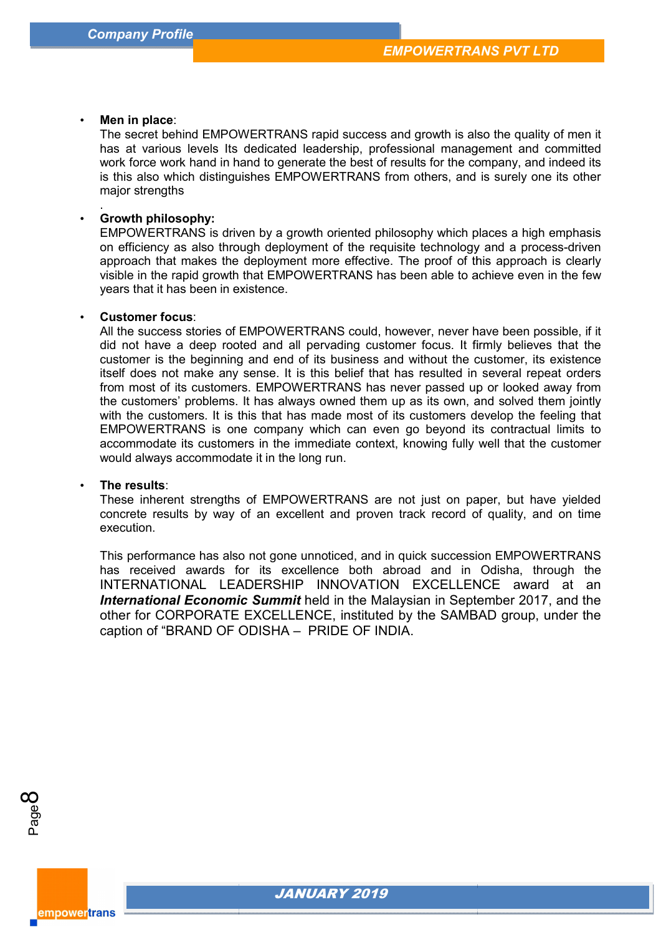#### • **Men in place**:

.

The secret behind EMPOWERTRANS rapid success and growth is also the quality of men it has at various levels Its dedicated leadership, professional management and committed work force work hand in hand to generate the best of results for the company, and indeed its is this also which distinguishes EMPOWERTRANS from others, and is surely one its other major strengths The secret behind EMPOWERTRANS rapid success and growth is also the quality of men it<br>has at various levels Its dedicated leadership, professional management and committed<br>work force work hand in hand to generate the best

#### • **Growth philosophy:**

EMPOWERTRANS is driven by a growth oriented philosophy which places a high emphasis on efficiency as also through deployment of the requisite technology and a process-driven approach that makes the deployment more effective. The proof of this approach is clearly visible in the rapid growth that EMPOWERTRANS has been able to achieve even in the few years that it has been in existence. approach that makes the deployment more effective. The proof of this approach is clearly<br>visible in the rapid growth that EMPOWERTRANS has been able to achieve even in the few<br>years that it has been in existence.<br>**Customer** 

#### • **Customer focus**:

did not have a deep rooted and all pervading customer focus. It firmly believes that the customer is the beginning and end of its business and without the customer, its existence customer is the beginning and end of its business and without the customer, its existence<br>itself does not make any sense. It is this belief that has resulted in several repeat orders from most of its customers. EMPOWERTRANS has never passed up or looked away from the customers' problems. It has always owned them up as its own, and solved them jointly with the customers. It is this that has made most of its customers develop the feeling that EMPOWERTRANS is one company which can even go beyond its contractual limits to accommodate its customers in the immediate context, knowing fully well that the customer would always accommodate it in the long run. the customers' problems. It has always owned them up as its own, and solved them jointly with the customers. It is this that has made most of its customers develop the feeling that EMPOWERTRANS is one company which can eve

#### • **The results**:

These inherent strengths of EMPOWERTRANS are not just on paper, but have yielded concrete results by way of an excellent and proven track record of quality execution.

This performance has also not gone unnoticed, and in quick succession EMPOWERTRANS has received awards for its excellence both abroad and in Odisha, through the INTERNATIONAL LEADERSHIP INNOVATION EXCELLENCE award at an This performance has also not gone unnoticed, and in quick succession EMPOWERTRANS<br>has received awards for its excellence both abroad and in Odisha, through the<br>INTERNATIONAL LEADERSHIP INNOVATION EXCELLE other for CORPORATE EXCELLENCE, instituted by the SAMBAD group, under the caption of "BRAND OF ODISHA – PRIDE OF INDIA.



empower<mark>trans</mark>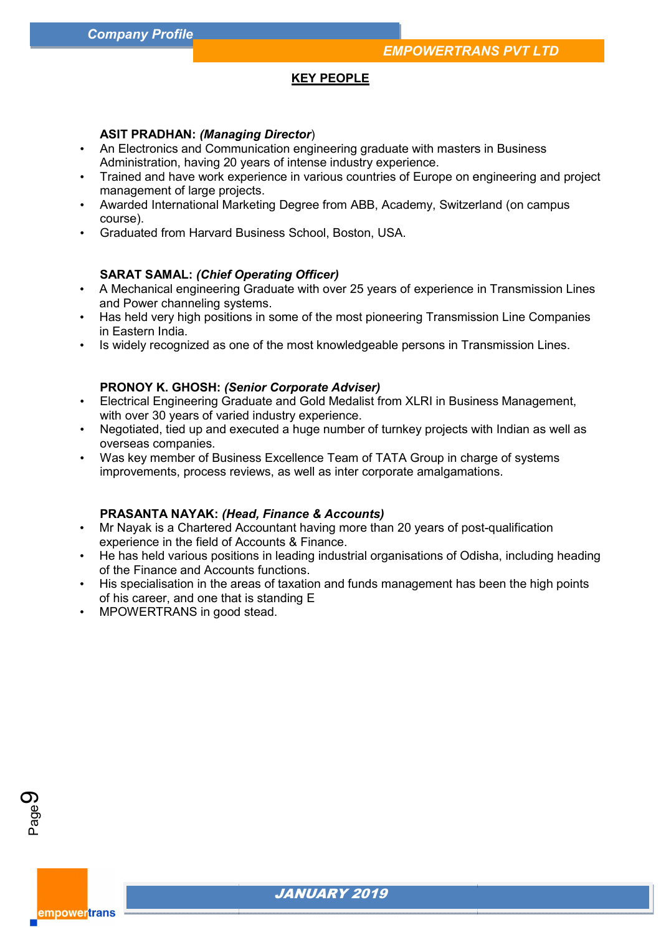#### **KEY PEOPLE**

#### **ASIT PRADHAN:** *(Managing Director* )

- An Electronics and Communication engineering graduate with masters in Business Administration, having 20 years of intense industry experience. - An Electronics and Communication engineering graduate with masters in Business<br>Administration, having 20 years of intense industry experience.<br>- Trained and have work experience in various countries of Europe on engineer
- management of large projects.
- Awarded International Marketing Degree from ABB, Academy, Switzerland (on campus course).
- Graduated from Harvard Business School, Boston, USA.

#### **SARAT SAMAL:** *(Chief Operating Officer Chief Officer)*

- A Mechanical engineering Graduate with over 25 years of experience in Transmission Lines and Power channeling systems.
- Has held very high positions in some of the most pioneering Transmission Line Companies in Eastern India.
- Is widely recognized as one of the most knowledgeable persons in Transmission Lines.

#### **PRONOY K. GHOSH:** *(Senior Corporate Adviser Adviser)*

- Electrical Engineering Graduate and Gold Medalist from XLRI in Business Management, with over 30 years of varied industry experience. Has held very high positions in some of the most pioneering Transmission Line Companies<br>in Eastern India.<br>Is widely recognized as one of the most knowledgeable persons in Transmission Lines.<br>**PRONOY K. GHOSH:** *(Senior Corp*
- Negotiated, tied up and executed a huge number of turnkey projects with Indian as well as overseas companies.
- Was key member of Business Excellence Team of TATA Group in charge of systems Was key member of Business Excellence Team of TATA Group in charge of<br>improvements, process reviews, as well as inter corporate amalgamations.

#### **PRASANTA NAYAK:** *(Head, Finance & Accounts Head, Accounts)*

- Mr Nayak is a Chartered Accountant having more than 20 years of post post-qualification experience in the field of Accounts & Finance.
- He has held various positions in leading industrial organisations of Odisha, including heading of the Finance and Accounts functions. He has held various positions in leading industrial organisations of Odisha, including headir<br>of the Finance and Accounts functions.<br>His specialisation in the areas of taxation and funds management has been the high points
- of his career, and one that is standing E
- MPOWERTRANS in good stead.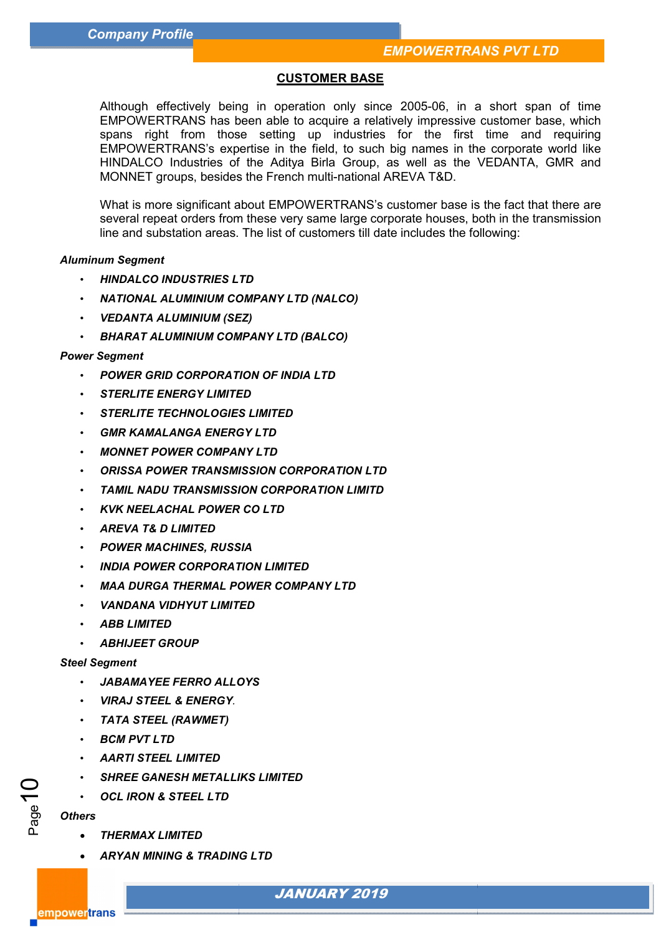### **CUSTOMER BASE**

Although effectively being in operation only since 2005 2005-06, in a short span of time EMPOWERTRANS has been able to acquire a relatively impressive customer base, which spans right from those setting up industries for the first time and requiring EMPOWERTRANS's expertise in the field, to such big names in the corporate world like EMPOWERTRANS's expertise in the field, to such big names in the corporate world like<br>HINDALCO Industries of the Aditya Birla Group, as well as the VEDANTA, GMR and MONNET groups, besides the French multi-national AREVA T&D. Although effectively being in operation only since 2005-05, in a short spansing industries for the first time and requiring the such set of the first time and requiring MS-IRMC MONING MONNET groups, besides the First in th

What is more significant about EMPOWERTRANS's customer base is the fact that there are several repeat orders from these very same large corporate houses, both in the transmission line and substation areas. The list of customers till date includes the following:

#### *Aluminum Segment*

- *HINDALCO INDUSTRIES LTD*
- HINDALCO INDUSTRIES LTD<br>• NATIONAL ALUMINIUM COMPANY LTD (NALCO)
- *VEDANTA ALUMINIUM (SEZ)*
- *BHARAT ALUMINIUM COMPANY LTD (B HARAT (BALCO)*

#### *Power Segment*

- *POWER GRID CORPORATION OF INDIA LTD*
- *STERLITE ENERGY LIMITED*
- *STERLITE TECHNOLOGIES LIMITED*
- *GMR KAMALANGA ENERGY LTD*
- *MONNET POWER COMPANY LTD*
- *ORISSA POWER TRANSMISSION CORPORATION LTD*
- *TAMIL NADU TRANSMISSION CORPORATION LIMITD*
- *KVK NEELACHAL POWER CO LTD*
- *AREVA T& D LIMITED*
- *POWER MACHINES, RUSSIA*
- *INDIA POWER CORPORATION LIMITED*
- *MAA DURGA THERMAL POWER COMPANY LTD*
- *VANDANA VIDHYUT LIMITED*
- *ABB LIMITED*
- *ABHIJEET GROUP*

#### *Steel Segment*

- *JABAMAYEE FERRO ALLOYS*
- *VIRAJ STEEL & ENERGY.*
- *TATA STEEL (RAWMET)*
- *BCM PVT LTD*
- *AARTI STEEL LIMITED*
- **SHREE GANESH METALLIKS LIMITED**
- *OCL IRON & STEEL LTD*

#### *Others*

empower<mark>trans</mark>

Page10

- *THERMAX LIMITED*
- *ARYAN MINING & TRADING LTD*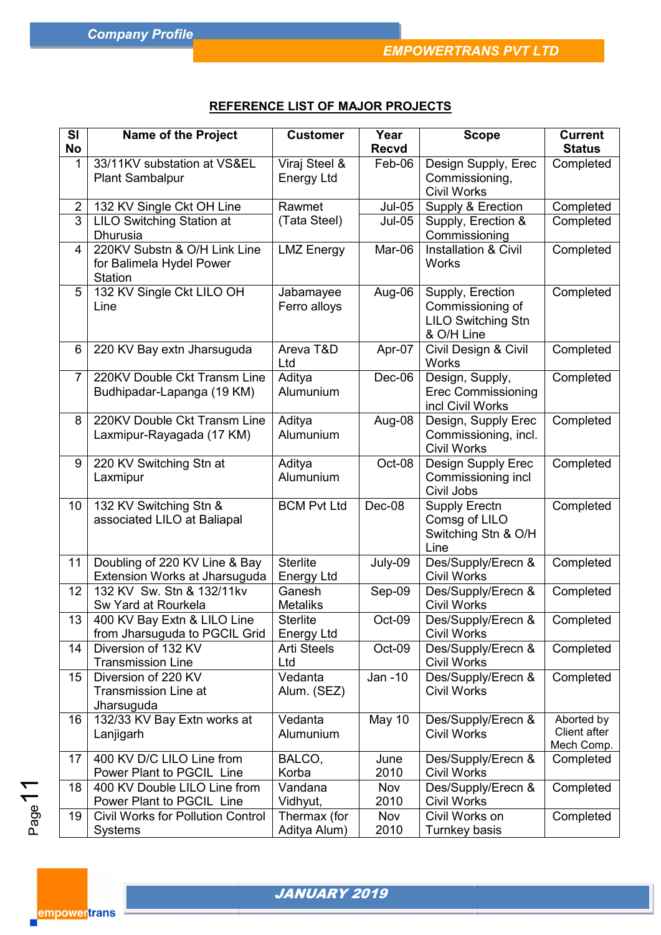# **REFERENCE LIST OF MAJOR PROJECTS**

| <b>SI</b>      | <b>Name of the Project</b>                                   | <b>Customer</b>                      | Year          | <b>Scope</b>                             | <b>Current</b>             |
|----------------|--------------------------------------------------------------|--------------------------------------|---------------|------------------------------------------|----------------------------|
| <b>No</b>      |                                                              |                                      | <b>Recvd</b>  |                                          | <b>Status</b>              |
| 1              | 33/11KV substation at VS&EL                                  | Viraj Steel &                        | Feb-06        | Design Supply, Erec                      | Completed                  |
|                | <b>Plant Sambalpur</b>                                       | <b>Energy Ltd</b>                    |               | Commissioning,                           |                            |
|                |                                                              |                                      |               | <b>Civil Works</b>                       |                            |
| $2^{\circ}$    | 132 KV Single Ckt OH Line                                    | Rawmet                               | $Jul-05$      | Supply & Erection                        | Completed                  |
| 3              | <b>LILO Switching Station at</b><br><b>Dhurusia</b>          | (Tata Steel)                         | <b>Jul-05</b> | Supply, Erection &<br>Commissioning      | Completed                  |
| 4              | 220KV Substn & O/H Link Line                                 | <b>LMZ Energy</b>                    | Mar-06        | <b>Installation &amp; Civil</b>          | Completed                  |
|                | for Balimela Hydel Power                                     |                                      |               | <b>Works</b>                             |                            |
|                | <b>Station</b>                                               |                                      |               |                                          |                            |
| 5              | 132 KV Single Ckt LILO OH                                    | Jabamayee                            | Aug-06        | Supply, Erection                         | Completed                  |
|                | Line                                                         | Ferro alloys                         |               | Commissioning of                         |                            |
|                |                                                              |                                      |               | <b>LILO Switching Stn</b>                |                            |
|                |                                                              |                                      |               | & O/H Line                               |                            |
| 6              | 220 KV Bay extn Jharsuguda                                   | Areva T&D                            | Apr-07        | Civil Design & Civil                     | Completed                  |
| $\overline{7}$ | 220KV Double Ckt Transm Line                                 | Ltd<br>Aditya                        | Dec-06        | <b>Works</b><br>Design, Supply,          | Completed                  |
|                | Budhipadar-Lapanga (19 KM)                                   | Alumunium                            |               | <b>Erec Commissioning</b>                |                            |
|                |                                                              |                                      |               | incl Civil Works                         |                            |
| 8              | 220KV Double Ckt Transm Line                                 | Aditya                               | Aug-08        | Design, Supply Erec                      | Completed                  |
|                | Laxmipur-Rayagada (17 KM)                                    | Alumunium                            |               | Commissioning, incl.                     |                            |
|                |                                                              |                                      |               | <b>Civil Works</b>                       |                            |
| 9              | 220 KV Switching Stn at                                      | Aditya                               | Oct-08        | Design Supply Erec                       | Completed                  |
|                | Laxmipur                                                     | Alumunium                            |               | Commissioning incl                       |                            |
| 10             | 132 KV Switching Stn &                                       | <b>BCM Pvt Ltd</b>                   | Dec-08        | Civil Jobs<br><b>Supply Erectn</b>       | Completed                  |
|                | associated LILO at Baliapal                                  |                                      |               | Comsg of LILO                            |                            |
|                |                                                              |                                      |               | Switching Stn & O/H                      |                            |
|                |                                                              |                                      |               | Line                                     |                            |
| 11             | Doubling of 220 KV Line & Bay                                | <b>Sterlite</b>                      | July-09       | Des/Supply/Erecn &                       | Completed                  |
|                | Extension Works at Jharsuguda                                | <b>Energy Ltd</b>                    |               | <b>Civil Works</b>                       |                            |
| 12             | 132 KV Sw. Stn & 132/11kv                                    | Ganesh                               | Sep-09        | Des/Supply/Erecn &                       | Completed                  |
|                | Sw Yard at Rourkela                                          | <b>Metaliks</b>                      |               | <b>Civil Works</b>                       |                            |
| 13             | 400 KV Bay Extn & LILO Line<br>from Jharsuguda to PGCIL Grid | <b>Sterlite</b><br><b>Energy Ltd</b> | Oct-09        | Des/Supply/Erecn &<br><b>Civil Works</b> | Completed                  |
| 14             | Diversion of 132 KV                                          | <b>Arti Steels</b>                   | Oct-09        | Des/Supply/Erecn &                       | Completed                  |
|                | <b>Transmission Line</b>                                     | Ltd                                  |               | <b>Civil Works</b>                       |                            |
| 15             | Diversion of 220 KV                                          | Vedanta                              | Jan -10       | Des/Supply/Erecn &                       | Completed                  |
|                | <b>Transmission Line at</b>                                  | Alum. (SEZ)                          |               | <b>Civil Works</b>                       |                            |
|                | Jharsuguda                                                   |                                      |               |                                          |                            |
| 16             | 132/33 KV Bay Extn works at                                  | Vedanta                              | <b>May 10</b> | Des/Supply/Erecn &                       | Aborted by                 |
|                | Lanjigarh                                                    | Alumunium                            |               | <b>Civil Works</b>                       | Client after<br>Mech Comp. |
| 17             | 400 KV D/C LILO Line from                                    | BALCO,                               | June          | Des/Supply/Erecn &                       | Completed                  |
|                | Power Plant to PGCIL Line                                    | Korba                                | 2010          | <b>Civil Works</b>                       |                            |
| 18             | 400 KV Double LILO Line from                                 | Vandana                              | Nov           | Des/Supply/Erecn &                       | Completed                  |
|                | Power Plant to PGCIL Line                                    | Vidhyut,                             | 2010          | <b>Civil Works</b>                       |                            |
| 19             | <b>Civil Works for Pollution Control</b>                     | Thermax (for                         | Nov           | Civil Works on                           | Completed                  |
|                | <b>Systems</b>                                               | Aditya Alum)                         | 2010          | Turnkey basis                            |                            |

<mark>empower</mark>trans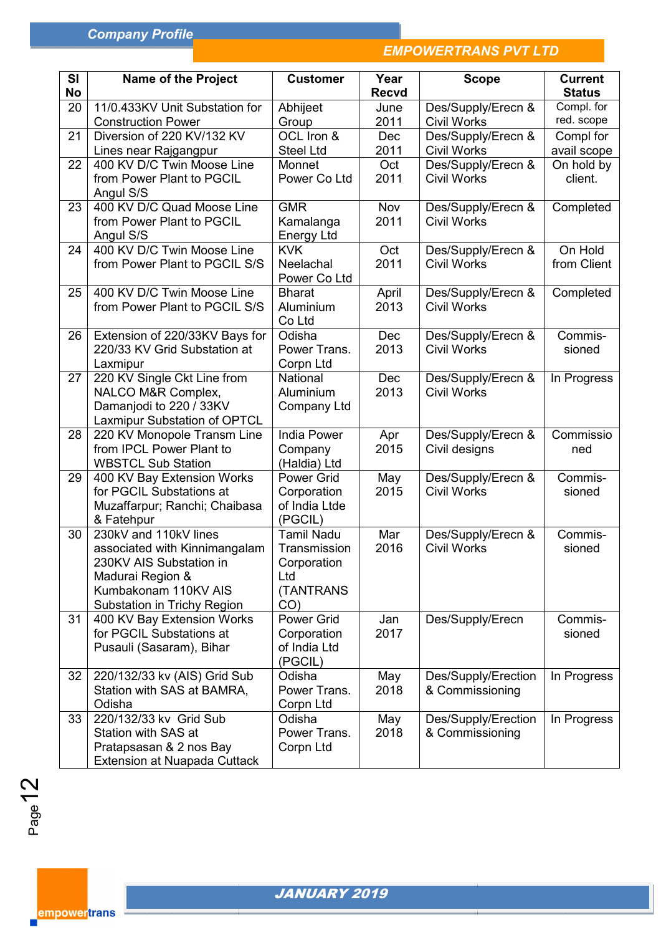# *EMPOWERTRANS PVT LTD*

| <b>SI</b>       | <b>Name of the Project</b>                                     | <b>Customer</b>              | Year         | <b>Scope</b>                             | <b>Current</b>    |
|-----------------|----------------------------------------------------------------|------------------------------|--------------|------------------------------------------|-------------------|
| <b>No</b>       |                                                                |                              | <b>Recvd</b> |                                          | <b>Status</b>     |
| 20              | 11/0.433KV Unit Substation for                                 | Abhijeet                     | June         | Des/Supply/Erecn &                       | Compl. for        |
|                 | <b>Construction Power</b>                                      | Group                        | 2011         | <b>Civil Works</b>                       | red. scope        |
| 21              | Diversion of 220 KV/132 KV                                     | OCL Iron &                   | Dec          | Des/Supply/Erecn &                       | Compl for         |
|                 | Lines near Rajgangpur                                          | <b>Steel Ltd</b>             | 2011         | <b>Civil Works</b>                       | avail scope       |
| 22              | 400 KV D/C Twin Moose Line                                     | Monnet                       | Oct          | Des/Supply/Erecn &                       | On hold by        |
|                 | from Power Plant to PGCIL                                      | Power Co Ltd                 | 2011         | <b>Civil Works</b>                       | client.           |
| 23              | Angul S/S<br>400 KV D/C Quad Moose Line                        | <b>GMR</b>                   | Nov          | Des/Supply/Erecn &                       | Completed         |
|                 | from Power Plant to PGCIL                                      | Kamalanga                    | 2011         | <b>Civil Works</b>                       |                   |
|                 | Angul S/S                                                      | <b>Energy Ltd</b>            |              |                                          |                   |
| 24              | 400 KV D/C Twin Moose Line                                     | <b>KVK</b>                   | Oct          | Des/Supply/Erecn &                       | On Hold           |
|                 | from Power Plant to PGCIL S/S                                  | Neelachal                    | 2011         | <b>Civil Works</b>                       | from Client       |
|                 |                                                                | Power Co Ltd                 |              |                                          |                   |
| 25              | 400 KV D/C Twin Moose Line                                     | <b>Bharat</b>                | April        | Des/Supply/Erecn &                       | Completed         |
|                 | from Power Plant to PGCIL S/S                                  | Aluminium                    | 2013         | <b>Civil Works</b>                       |                   |
|                 |                                                                | Co Ltd                       |              |                                          |                   |
| 26              | Extension of 220/33KV Bays for<br>220/33 KV Grid Substation at | Odisha<br>Power Trans.       | Dec<br>2013  | Des/Supply/Erecn &<br><b>Civil Works</b> | Commis-<br>sioned |
|                 | Laxmipur                                                       | Corpn Ltd                    |              |                                          |                   |
| 27              | 220 KV Single Ckt Line from                                    | National                     | Dec          | Des/Supply/Erecn &                       | In Progress       |
|                 | NALCO M&R Complex,                                             | Aluminium                    | 2013         | <b>Civil Works</b>                       |                   |
|                 | Damanjodi to 220 / 33KV                                        | <b>Company Ltd</b>           |              |                                          |                   |
|                 | Laxmipur Substation of OPTCL                                   |                              |              |                                          |                   |
| 28              | 220 KV Monopole Transm Line                                    | <b>India Power</b>           | Apr          | Des/Supply/Erecn &                       | Commissio         |
|                 | from IPCL Power Plant to                                       | Company                      | 2015         | Civil designs                            | ned               |
|                 | <b>WBSTCL Sub Station</b>                                      | (Haldia) Ltd                 |              |                                          |                   |
| 29              | 400 KV Bay Extension Works                                     | <b>Power Grid</b>            | May<br>2015  | Des/Supply/Erecn &                       | Commis-           |
|                 | for PGCIL Substations at<br>Muzaffarpur; Ranchi; Chaibasa      | Corporation<br>of India Ltde |              | <b>Civil Works</b>                       | sioned            |
|                 | & Fatehpur                                                     | (PGCIL)                      |              |                                          |                   |
| 30              | 230kV and 110kV lines                                          | <b>Tamil Nadu</b>            | Mar          | Des/Supply/Erecn &                       | Commis-           |
|                 | associated with Kinnimangalam                                  | Transmission                 | 2016         | <b>Civil Works</b>                       | sioned            |
|                 | 230KV AIS Substation in                                        | Corporation                  |              |                                          |                   |
|                 | Madurai Region &                                               | Ltd                          |              |                                          |                   |
|                 | Kumbakonam 110KV AIS                                           | (TANTRANS                    |              |                                          |                   |
|                 | Substation in Trichy Region                                    | CO)                          |              |                                          |                   |
| 31              | 400 KV Bay Extension Works<br>for PGCIL Substations at         | Power Grid                   | Jan<br>2017  | Des/Supply/Erecn                         | Commis-<br>sioned |
|                 | Pusauli (Sasaram), Bihar                                       | Corporation<br>of India Ltd  |              |                                          |                   |
|                 |                                                                | (PGCIL)                      |              |                                          |                   |
| 32 <sub>2</sub> | 220/132/33 kv (AIS) Grid Sub                                   | Odisha                       | May          | Des/Supply/Erection                      | In Progress       |
|                 | Station with SAS at BAMRA,                                     | Power Trans.                 | 2018         | & Commissioning                          |                   |
|                 | Odisha                                                         | Corpn Ltd                    |              |                                          |                   |
| 33              | 220/132/33 kv Grid Sub                                         | Odisha                       | May          | Des/Supply/Erection                      | In Progress       |
|                 | Station with SAS at                                            | Power Trans.                 | 2018         | & Commissioning                          |                   |
|                 | Pratapsasan & 2 nos Bay                                        | Corpn Ltd                    |              |                                          |                   |
|                 | <b>Extension at Nuapada Cuttack</b>                            |                              |              |                                          |                   |